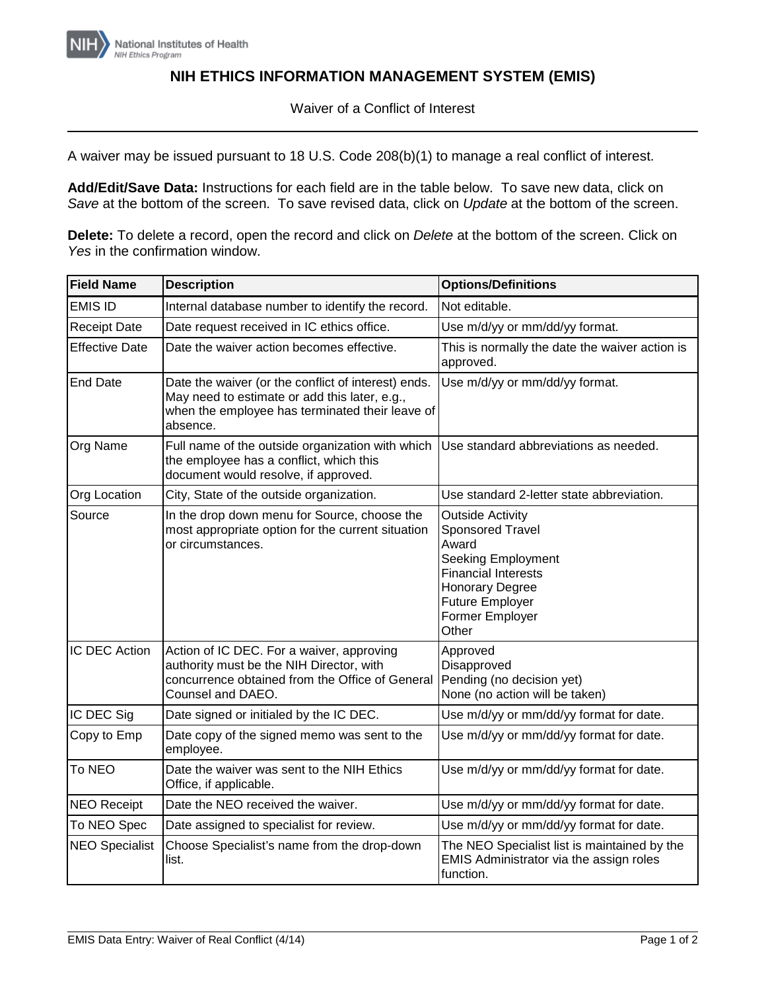

## **NIH ETHICS INFORMATION MANAGEMENT SYSTEM (EMIS)**

Waiver of a Conflict of Interest

A waiver may be issued pursuant to 18 U.S. Code 208(b)(1) to manage a real conflict of interest.

**Add/Edit/Save Data:** Instructions for each field are in the table below. To save new data, click on *Save* at the bottom of the screen. To save revised data, click on *Update* at the bottom of the screen.

**Delete:** To delete a record, open the record and click on *Delete* at the bottom of the screen. Click on *Yes* in the confirmation window.

| <b>Field Name</b>     | <b>Description</b>                                                                                                                                                  | <b>Options/Definitions</b>                                                                                                                                                                             |
|-----------------------|---------------------------------------------------------------------------------------------------------------------------------------------------------------------|--------------------------------------------------------------------------------------------------------------------------------------------------------------------------------------------------------|
| <b>EMIS ID</b>        | Internal database number to identify the record.                                                                                                                    | Not editable.                                                                                                                                                                                          |
| <b>Receipt Date</b>   | Date request received in IC ethics office.                                                                                                                          | Use m/d/yy or mm/dd/yy format.                                                                                                                                                                         |
| <b>Effective Date</b> | Date the waiver action becomes effective.                                                                                                                           | This is normally the date the waiver action is<br>approved.                                                                                                                                            |
| <b>End Date</b>       | Date the waiver (or the conflict of interest) ends.<br>May need to estimate or add this later, e.g.,<br>when the employee has terminated their leave of<br>absence. | Use m/d/yy or mm/dd/yy format.                                                                                                                                                                         |
| Org Name              | Full name of the outside organization with which<br>the employee has a conflict, which this<br>document would resolve, if approved.                                 | Use standard abbreviations as needed.                                                                                                                                                                  |
| Org Location          | City, State of the outside organization.                                                                                                                            | Use standard 2-letter state abbreviation.                                                                                                                                                              |
| Source                | In the drop down menu for Source, choose the<br>most appropriate option for the current situation<br>or circumstances.                                              | <b>Outside Activity</b><br><b>Sponsored Travel</b><br>Award<br><b>Seeking Employment</b><br><b>Financial Interests</b><br><b>Honorary Degree</b><br><b>Future Employer</b><br>Former Employer<br>Other |
| IC DEC Action         | Action of IC DEC. For a waiver, approving<br>authority must be the NIH Director, with<br>concurrence obtained from the Office of General<br>Counsel and DAEO.       | Approved<br>Disapproved<br>Pending (no decision yet)<br>None (no action will be taken)                                                                                                                 |
| IC DEC Sig            | Date signed or initialed by the IC DEC.                                                                                                                             | Use m/d/yy or mm/dd/yy format for date.                                                                                                                                                                |
| Copy to Emp           | Date copy of the signed memo was sent to the<br>employee.                                                                                                           | Use m/d/yy or mm/dd/yy format for date.                                                                                                                                                                |
| To NEO                | Date the waiver was sent to the NIH Ethics<br>Office, if applicable.                                                                                                | Use m/d/yy or mm/dd/yy format for date.                                                                                                                                                                |
| <b>NEO Receipt</b>    | Date the NEO received the waiver.                                                                                                                                   | Use m/d/yy or mm/dd/yy format for date.                                                                                                                                                                |
| To NEO Spec           | Date assigned to specialist for review.                                                                                                                             | Use m/d/yy or mm/dd/yy format for date.                                                                                                                                                                |
| <b>NEO Specialist</b> | Choose Specialist's name from the drop-down<br>list.                                                                                                                | The NEO Specialist list is maintained by the<br>EMIS Administrator via the assign roles<br>function.                                                                                                   |